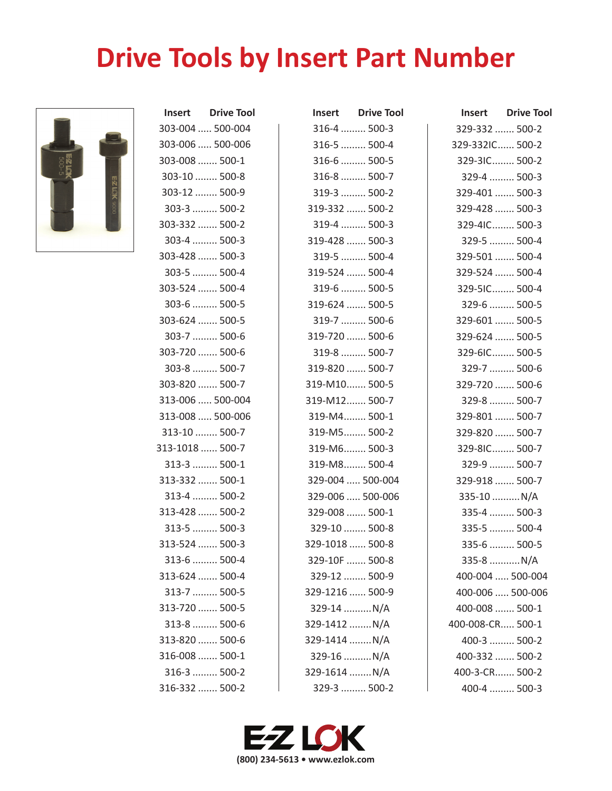## **Drive Tools by Insert Part Number**



| <b>Drive Tool</b><br>Insert | <b>Drive Tool</b><br><b>Insert</b> | <b>Drive Tool</b><br><b>Insert</b> |
|-----------------------------|------------------------------------|------------------------------------|
| 303-004  500-004            | 316-4  500-3                       | 329-332  500-2                     |
| 303-006  500-006            | 316-5  500-4                       | 329-332IC 500-2                    |
| 303-008  500-1              | 316-6  500-5                       | 329-3IC 500-2                      |
| 303-10  500-8               | 316-8  500-7                       | 329-4  500-3                       |
| 303-12  500-9               | 319-3  500-2                       | 329-401  500-3                     |
| 303-3  500-2                | 319-332  500-2                     | 329-428  500-3                     |
| 303-332  500-2              | 319-4  500-3                       | 329-4IC 500-3                      |
| 303-4  500-3                | 319-428  500-3                     | 329-5  500-4                       |
| 303-428  500-3              | 319-5  500-4                       | 329-501  500-4                     |
| 303-5  500-4                | 319-524  500-4                     | 329-524  500-4                     |
| 303-524  500-4              | 319-6  500-5                       | 329-5IC 500-4                      |
| 303-6  500-5                | 319-624  500-5                     | 329-6  500-5                       |
| 303-624  500-5              | 319-7  500-6                       | 329-601  500-5                     |
| 303-7  500-6                | 319-720  500-6                     | 329-624  500-5                     |
| 303-720  500-6              | 319-8  500-7                       | 329-6IC 500-5                      |
| 303-8  500-7                | 319-820  500-7                     | 329-7  500-6                       |
| 303-820  500-7              | 319-M10 500-5                      | 329-720  500-6                     |
| 313-006  500-004            | 319-M12 500-7                      | 329-8  500-7                       |
| 313-008  500-006            | 319-M4 500-1                       | 329-801  500-7                     |
| 313-10  500-7               | 319-M5 500-2                       | 329-820  500-7                     |
| 313-1018  500-7             | 319-M6 500-3                       | 329-8IC 500-7                      |
| 313-3  500-1                | 319-M8 500-4                       | 329-9  500-7                       |
| 313-332  500-1              | 329-004  500-004                   | 329-918  500-7                     |
| 313-4  500-2                | 329-006  500-006                   | 335-10 N/A                         |
| 313-428  500-2              | 329-008  500-1                     | 335-4  500-3                       |
| 313-5  500-3                | 329-10  500-8                      | 335-5  500-4                       |
| 313-524  500-3              | 329-1018  500-8                    | 335-6  500-5                       |
| 313-6  500-4                | 329-10F  500-8                     | 335-8  N/A                         |
| 313-624  500-4              | 329-12  500-9                      | 400-004  500-004                   |
| 313-7  500-5                | 329-1216  500-9                    | 400-006  500-006                   |
| 313-720  500-5              | 329-14  N/A                        | 400-008  500-1                     |
| 313-8  500-6                | 329-1412 N/A                       | 400-008-CR 500-1                   |
| 313-820  500-6              | 329-1414 N/A                       | 400-3  500-2                       |
| 316-008  500-1              | 329-16  N/A                        | 400-332  500-2                     |
| 316-3  500-2                | 329-1614 N/A                       | 400-3-CR 500-2                     |
| 316-332  500-2              | 329-3  500-2                       | 400-4  500-3                       |
|                             |                                    |                                    |